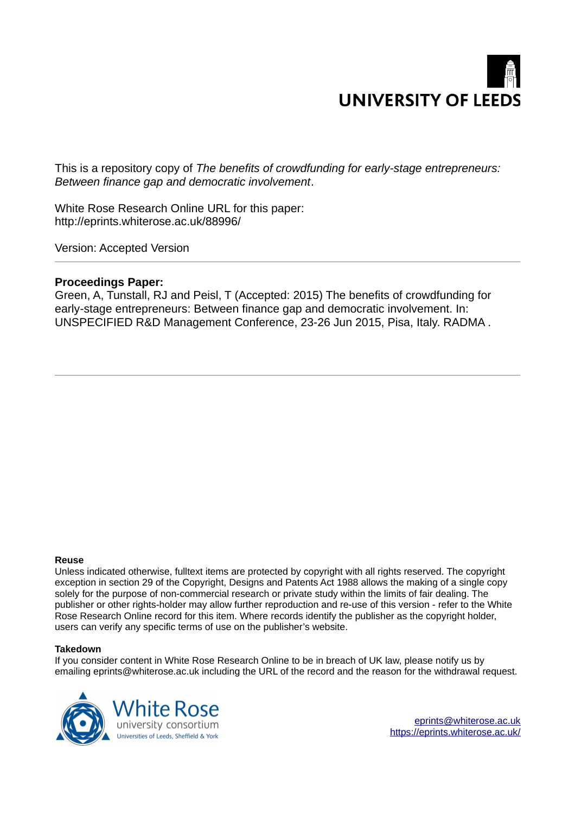

This is a repository copy of *The benefits of crowdfunding for early-stage entrepreneurs: Between finance gap and democratic involvement*.

White Rose Research Online URL for this paper: http://eprints.whiterose.ac.uk/88996/

Version: Accepted Version

# **Proceedings Paper:**

Green, A, Tunstall, RJ and Peisl, T (Accepted: 2015) The benefits of crowdfunding for early-stage entrepreneurs: Between finance gap and democratic involvement. In: UNSPECIFIED R&D Management Conference, 23-26 Jun 2015, Pisa, Italy. RADMA .

#### **Reuse**

Unless indicated otherwise, fulltext items are protected by copyright with all rights reserved. The copyright exception in section 29 of the Copyright, Designs and Patents Act 1988 allows the making of a single copy solely for the purpose of non-commercial research or private study within the limits of fair dealing. The publisher or other rights-holder may allow further reproduction and re-use of this version - refer to the White Rose Research Online record for this item. Where records identify the publisher as the copyright holder, users can verify any specific terms of use on the publisher's website.

#### **Takedown**

If you consider content in White Rose Research Online to be in breach of UK law, please notify us by emailing eprints@whiterose.ac.uk including the URL of the record and the reason for the withdrawal request.

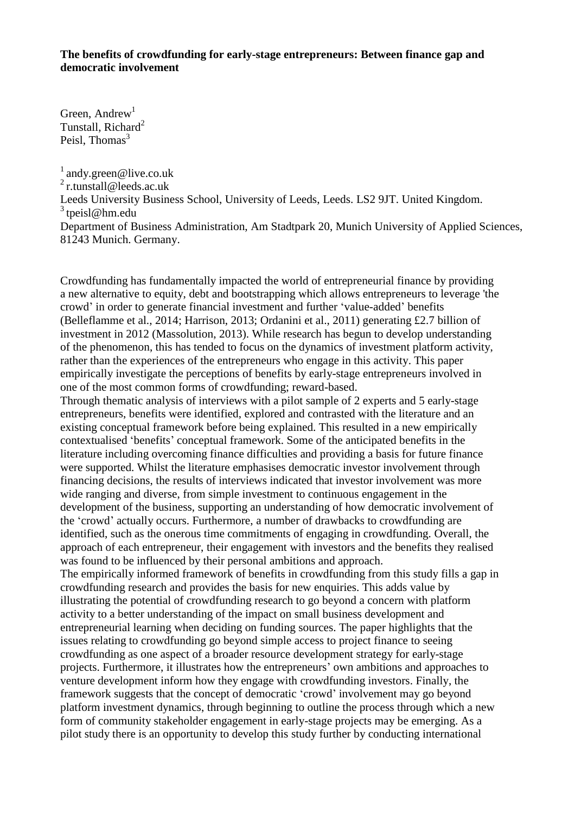# **The benefits of crowdfunding for early-stage entrepreneurs: Between finance gap and democratic involvement**

Green, Andrew<sup>1</sup> Tunstall, Richard<sup>2</sup> Peisl, Thomas $3$ 

 $^{1}$  andy.green@live.co.uk  $^{2}$ r.tunstall@leeds.ac.uk Leeds University Business School, University of Leeds, Leeds. LS2 9JT. United Kingdom.  $3$  tpeisl@hm.edu Department of Business Administration, Am Stadtpark 20, Munich University of Applied Sciences, 81243 Munich. Germany.

Crowdfunding has fundamentally impacted the world of entrepreneurial finance by providing a new alternative to equity, debt and bootstrapping which allows entrepreneurs to leverage 'the crowd' in order to generate financial investment and further 'value-added' benefits (Belleflamme et al., 2014; Harrison, 2013; Ordanini et al., 2011) generating £2.7 billion of investment in 2012 (Massolution, 2013). While research has begun to develop understanding of the phenomenon, this has tended to focus on the dynamics of investment platform activity, rather than the experiences of the entrepreneurs who engage in this activity. This paper empirically investigate the perceptions of benefits by early-stage entrepreneurs involved in one of the most common forms of crowdfunding; reward-based.

Through thematic analysis of interviews with a pilot sample of 2 experts and 5 early-stage entrepreneurs, benefits were identified, explored and contrasted with the literature and an existing conceptual framework before being explained. This resulted in a new empirically contextualised 'benefits' conceptual framework. Some of the anticipated benefits in the literature including overcoming finance difficulties and providing a basis for future finance were supported. Whilst the literature emphasises democratic investor involvement through financing decisions, the results of interviews indicated that investor involvement was more wide ranging and diverse, from simple investment to continuous engagement in the development of the business, supporting an understanding of how democratic involvement of the 'crowd' actually occurs. Furthermore, a number of drawbacks to crowdfunding are identified, such as the onerous time commitments of engaging in crowdfunding. Overall, the approach of each entrepreneur, their engagement with investors and the benefits they realised was found to be influenced by their personal ambitions and approach.

The empirically informed framework of benefits in crowdfunding from this study fills a gap in crowdfunding research and provides the basis for new enquiries. This adds value by illustrating the potential of crowdfunding research to go beyond a concern with platform activity to a better understanding of the impact on small business development and entrepreneurial learning when deciding on funding sources. The paper highlights that the issues relating to crowdfunding go beyond simple access to project finance to seeing crowdfunding as one aspect of a broader resource development strategy for early-stage projects. Furthermore, it illustrates how the entrepreneurs' own ambitions and approaches to venture development inform how they engage with crowdfunding investors. Finally, the framework suggests that the concept of democratic 'crowd' involvement may go beyond platform investment dynamics, through beginning to outline the process through which a new form of community stakeholder engagement in early-stage projects may be emerging. As a pilot study there is an opportunity to develop this study further by conducting international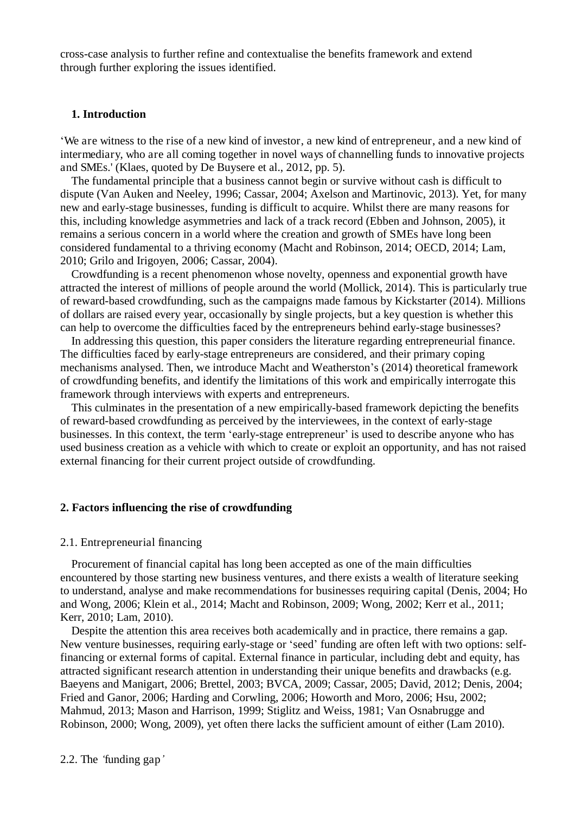cross-case analysis to further refine and contextualise the benefits framework and extend through further exploring the issues identified.

## **1. Introduction**

'We are witness to the rise of a new kind of investor, a new kind of entrepreneur, and a new kind of intermediary, who are all coming together in novel ways of channelling funds to innovative projects and SMEs.' (Klaes, quoted by De Buysere et al., 2012, pp. 5).

The fundamental principle that a business cannot begin or survive without cash is difficult to dispute (Van Auken and Neeley, 1996; Cassar, 2004; Axelson and Martinovic, 2013). Yet, for many new and early-stage businesses, funding is difficult to acquire. Whilst there are many reasons for this, including knowledge asymmetries and lack of a track record (Ebben and Johnson, 2005), it remains a serious concern in a world where the creation and growth of SMEs have long been considered fundamental to a thriving economy (Macht and Robinson, 2014; OECD, 2014; Lam, 2010; Grilo and Irigoyen, 2006; Cassar, 2004).

Crowdfunding is a recent phenomenon whose novelty, openness and exponential growth have attracted the interest of millions of people around the world (Mollick, 2014). This is particularly true of reward-based crowdfunding, such as the campaigns made famous by Kickstarter (2014). Millions of dollars are raised every year, occasionally by single projects, but a key question is whether this can help to overcome the difficulties faced by the entrepreneurs behind early-stage businesses?

In addressing this question, this paper considers the literature regarding entrepreneurial finance. The difficulties faced by early-stage entrepreneurs are considered, and their primary coping mechanisms analysed. Then, we introduce Macht and Weatherston's (2014) theoretical framework of crowdfunding benefits, and identify the limitations of this work and empirically interrogate this framework through interviews with experts and entrepreneurs.

This culminates in the presentation of a new empirically-based framework depicting the benefits of reward-based crowdfunding as perceived by the interviewees, in the context of early-stage businesses. In this context, the term 'early-stage entrepreneur' is used to describe anyone who has used business creation as a vehicle with which to create or exploit an opportunity, and has not raised external financing for their current project outside of crowdfunding.

#### **2. Factors influencing the rise of crowdfunding**

#### 2.1. Entrepreneurial financing

Procurement of financial capital has long been accepted as one of the main difficulties encountered by those starting new business ventures, and there exists a wealth of literature seeking to understand, analyse and make recommendations for businesses requiring capital (Denis, 2004; Ho and Wong, 2006; Klein et al., 2014; Macht and Robinson, 2009; Wong, 2002; Kerr et al., 2011; Kerr, 2010; Lam, 2010).

Despite the attention this area receives both academically and in practice, there remains a gap. New venture businesses, requiring early-stage or 'seed' funding are often left with two options: selffinancing or external forms of capital. External finance in particular, including debt and equity, has attracted significant research attention in understanding their unique benefits and drawbacks (e.g. Baeyens and Manigart, 2006; Brettel, 2003; BVCA, 2009; Cassar, 2005; David, 2012; Denis, 2004; Fried and Ganor, 2006; Harding and Corwling, 2006; Howorth and Moro, 2006; Hsu, 2002; Mahmud, 2013; Mason and Harrison, 1999; Stiglitz and Weiss, 1981; Van Osnabrugge and Robinson, 2000; Wong, 2009), yet often there lacks the sufficient amount of either (Lam 2010).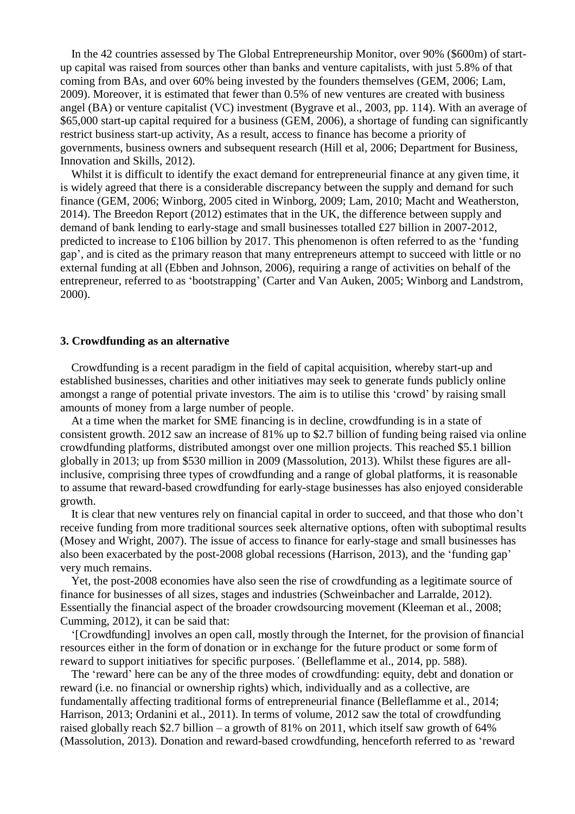In the 42 countries assessed by The Global Entrepreneurship Monitor, over 90% (\$600m) of startup capital was raised from sources other than banks and venture capitalists, with just 5.8% of that coming from BAs, and over 60% being invested by the founders themselves (GEM, 2006; Lam, 2009). Moreover, it is estimated that fewer than 0.5% of new ventures are created with business angel (BA) or venture capitalist (VC) investment (Bygrave et al., 2003, pp. 114). With an average of \$65,000 start-up capital required for a business (GEM, 2006), a shortage of funding can significantly restrict business start-up activity, As a result, access to finance has become a priority of governments, business owners and subsequent research (Hill et al, 2006; Department for Business, Innovation and Skills, 2012).

Whilst it is difficult to identify the exact demand for entrepreneurial finance at any given time, it is widely agreed that there is a considerable discrepancy between the supply and demand for such finance (GEM, 2006; Winborg, 2005 cited in Winborg, 2009; Lam, 2010; Macht and Weatherston, 2014). The Breedon Report (2012) estimates that in the UK, the difference between supply and demand of bank lending to early-stage and small businesses totalled £27 billion in 2007-2012, predicted to increase to £106 billion by 2017. This phenomenon is often referred to as the 'funding gap', and is cited as the primary reason that many entrepreneurs attempt to succeed with little or no external funding at all (Ebben and Johnson, 2006), requiring a range of activities on behalf of the entrepreneur, referred to as 'bootstrapping' (Carter and Van Auken, 2005; Winborg and Landstrom, 2000).

#### **3. Crowdfunding as an alternative**

Crowdfunding is a recent paradigm in the field of capital acquisition, whereby start-up and established businesses, charities and other initiatives may seek to generate funds publicly online amongst a range of potential private investors. The aim is to utilise this 'crowd' by raising small amounts of money from a large number of people.

At a time when the market for SME financing is in decline, crowdfunding is in a state of consistent growth. 2012 saw an increase of 81% up to \$2.7 billion of funding being raised via online crowdfunding platforms, distributed amongst over one million projects. This reached \$5.1 billion globally in 2013; up from \$530 million in 2009 (Massolution, 2013). Whilst these figures are allinclusive, comprising three types of crowdfunding and a range of global platforms, it is reasonable to assume that reward-based crowdfunding for early-stage businesses has also enjoyed considerable growth.

It is clear that new ventures rely on financial capital in order to succeed, and that those who don't receive funding from more traditional sources seek alternative options, often with suboptimal results (Mosey and Wright, 2007). The issue of access to finance for early-stage and small businesses has also been exacerbated by the post-2008 global recessions (Harrison, 2013), and the 'funding gap' very much remains.

Yet, the post-2008 economies have also seen the rise of crowdfunding as a legitimate source of finance for businesses of all sizes, stages and industries (Schweinbacher and Larralde, 2012). Essentially the financial aspect of the broader crowdsourcing movement (Kleeman et al., 2008; Cumming, 2012), it can be said that:

'[Crowdfunding] involves an open call, mostly through the Internet, for the provision of financial resources either in the form of donation or in exchange for the future product or some form of reward to support initiatives for specific purposes.*'* (Belleflamme et al., 2014, pp. 588).

The 'reward' here can be any of the three modes of crowdfunding: equity, debt and donation or reward (i.e. no financial or ownership rights) which, individually and as a collective, are fundamentally affecting traditional forms of entrepreneurial finance (Belleflamme et al., 2014; Harrison, 2013; Ordanini et al., 2011). In terms of volume, 2012 saw the total of crowdfunding raised globally reach \$2.7 billion – a growth of 81% on 2011, which itself saw growth of 64% (Massolution, 2013). Donation and reward-based crowdfunding, henceforth referred to as 'reward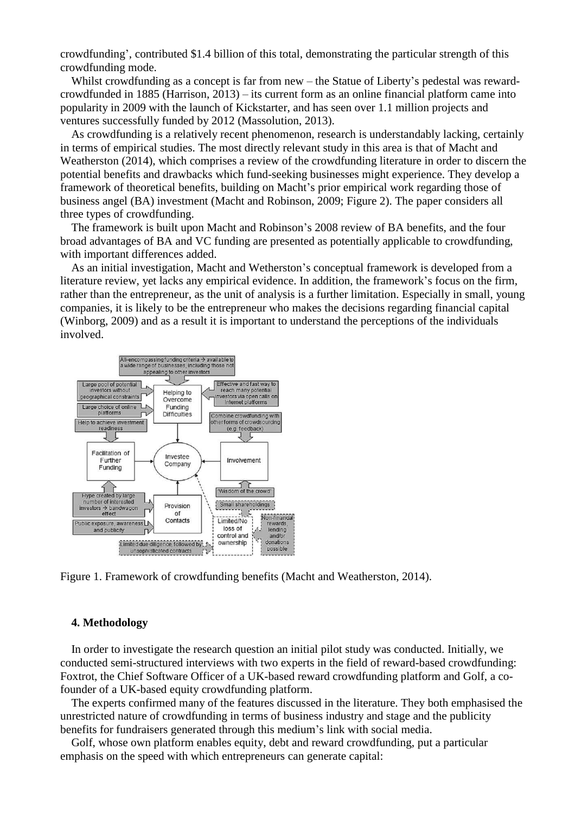crowdfunding', contributed \$1.4 billion of this total, demonstrating the particular strength of this crowdfunding mode.

Whilst crowdfunding as a concept is far from new – the Statue of Liberty's pedestal was rewardcrowdfunded in 1885 (Harrison, 2013) – its current form as an online financial platform came into popularity in 2009 with the launch of Kickstarter, and has seen over 1.1 million projects and ventures successfully funded by 2012 (Massolution, 2013).

As crowdfunding is a relatively recent phenomenon, research is understandably lacking, certainly in terms of empirical studies. The most directly relevant study in this area is that of Macht and Weatherston (2014), which comprises a review of the crowdfunding literature in order to discern the potential benefits and drawbacks which fund-seeking businesses might experience. They develop a framework of theoretical benefits, building on Macht's prior empirical work regarding those of business angel (BA) investment (Macht and Robinson, 2009; Figure 2). The paper considers all three types of crowdfunding.

The framework is built upon Macht and Robinson's 2008 review of BA benefits, and the four broad advantages of BA and VC funding are presented as potentially applicable to crowdfunding, with important differences added.

As an initial investigation, Macht and Wetherston's conceptual framework is developed from a literature review, yet lacks any empirical evidence. In addition, the framework's focus on the firm, rather than the entrepreneur, as the unit of analysis is a further limitation. Especially in small, young companies, it is likely to be the entrepreneur who makes the decisions regarding financial capital (Winborg, 2009) and as a result it is important to understand the perceptions of the individuals involved.



Figure 1. Framework of crowdfunding benefits (Macht and Weatherston, 2014).

# **4. Methodology**

In order to investigate the research question an initial pilot study was conducted. Initially, we conducted semi-structured interviews with two experts in the field of reward-based crowdfunding: Foxtrot, the Chief Software Officer of a UK-based reward crowdfunding platform and Golf, a cofounder of a UK-based equity crowdfunding platform.

The experts confirmed many of the features discussed in the literature. They both emphasised the unrestricted nature of crowdfunding in terms of business industry and stage and the publicity benefits for fundraisers generated through this medium's link with social media.

Golf, whose own platform enables equity, debt and reward crowdfunding, put a particular emphasis on the speed with which entrepreneurs can generate capital: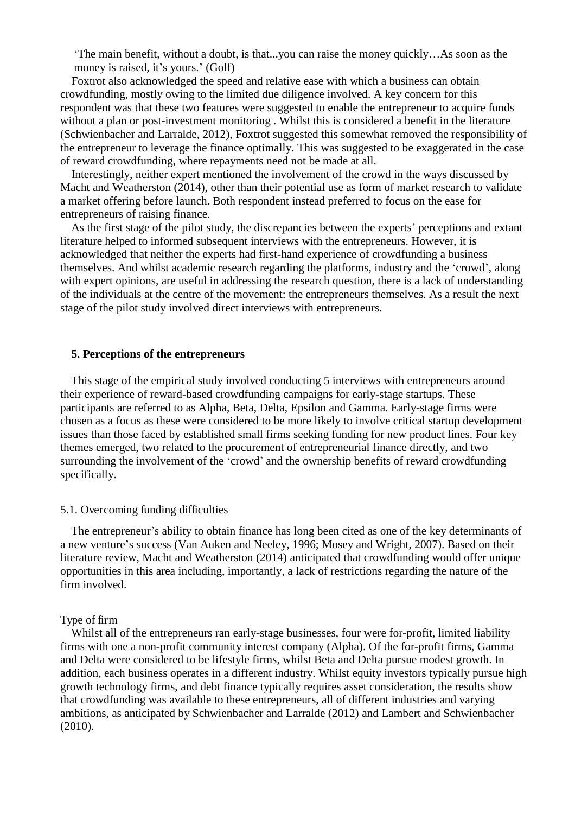'The main benefit, without a doubt, is that...you can raise the money quickly…As soon as the money is raised, it's yours.' (Golf)

Foxtrot also acknowledged the speed and relative ease with which a business can obtain crowdfunding, mostly owing to the limited due diligence involved. A key concern for this respondent was that these two features were suggested to enable the entrepreneur to acquire funds without a plan or post-investment monitoring . Whilst this is considered a benefit in the literature (Schwienbacher and Larralde, 2012), Foxtrot suggested this somewhat removed the responsibility of the entrepreneur to leverage the finance optimally. This was suggested to be exaggerated in the case of reward crowdfunding, where repayments need not be made at all.

Interestingly, neither expert mentioned the involvement of the crowd in the ways discussed by Macht and Weatherston (2014), other than their potential use as form of market research to validate a market offering before launch. Both respondent instead preferred to focus on the ease for entrepreneurs of raising finance.

As the first stage of the pilot study, the discrepancies between the experts' perceptions and extant literature helped to informed subsequent interviews with the entrepreneurs. However, it is acknowledged that neither the experts had first-hand experience of crowdfunding a business themselves. And whilst academic research regarding the platforms, industry and the 'crowd', along with expert opinions, are useful in addressing the research question, there is a lack of understanding of the individuals at the centre of the movement: the entrepreneurs themselves. As a result the next stage of the pilot study involved direct interviews with entrepreneurs.

# **5. Perceptions of the entrepreneurs**

This stage of the empirical study involved conducting 5 interviews with entrepreneurs around their experience of reward-based crowdfunding campaigns for early-stage startups. These participants are referred to as Alpha, Beta, Delta, Epsilon and Gamma. Early-stage firms were chosen as a focus as these were considered to be more likely to involve critical startup development issues than those faced by established small firms seeking funding for new product lines. Four key themes emerged, two related to the procurement of entrepreneurial finance directly, and two surrounding the involvement of the 'crowd' and the ownership benefits of reward crowdfunding specifically.

#### 5.1. Overcoming funding difficulties

The entrepreneur's ability to obtain finance has long been cited as one of the key determinants of a new venture's success (Van Auken and Neeley, 1996; Mosey and Wright, 2007). Based on their literature review, Macht and Weatherston (2014) anticipated that crowdfunding would offer unique opportunities in this area including, importantly, a lack of restrictions regarding the nature of the firm involved.

## Type of firm

Whilst all of the entrepreneurs ran early-stage businesses, four were for-profit, limited liability firms with one a non-profit community interest company (Alpha). Of the for-profit firms, Gamma and Delta were considered to be lifestyle firms, whilst Beta and Delta pursue modest growth. In addition, each business operates in a different industry. Whilst equity investors typically pursue high growth technology firms, and debt finance typically requires asset consideration, the results show that crowdfunding was available to these entrepreneurs, all of different industries and varying ambitions, as anticipated by Schwienbacher and Larralde (2012) and Lambert and Schwienbacher (2010).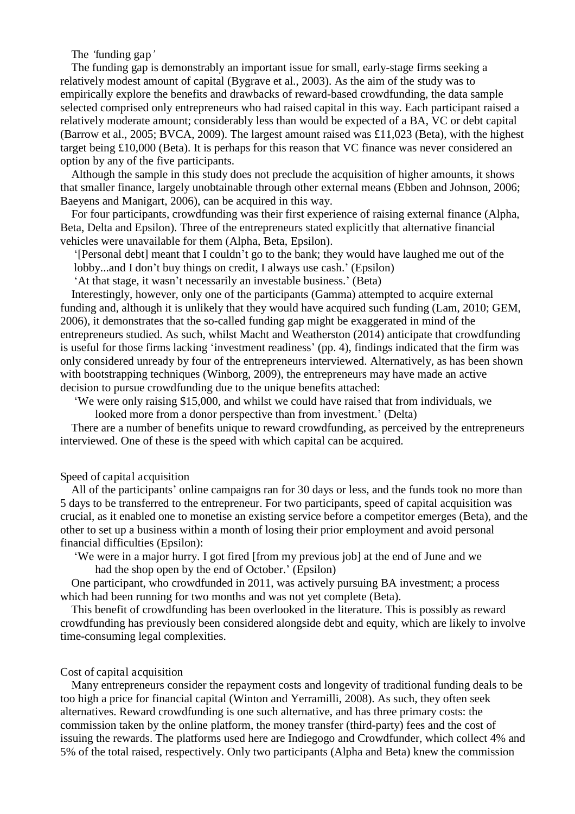The *'*funding gap*'*

The funding gap is demonstrably an important issue for small, early-stage firms seeking a relatively modest amount of capital (Bygrave et al., 2003). As the aim of the study was to empirically explore the benefits and drawbacks of reward-based crowdfunding, the data sample selected comprised only entrepreneurs who had raised capital in this way. Each participant raised a relatively moderate amount; considerably less than would be expected of a BA, VC or debt capital (Barrow et al., 2005; BVCA, 2009). The largest amount raised was £11,023 (Beta), with the highest target being £10,000 (Beta). It is perhaps for this reason that VC finance was never considered an option by any of the five participants.

Although the sample in this study does not preclude the acquisition of higher amounts, it shows that smaller finance, largely unobtainable through other external means (Ebben and Johnson, 2006; Baeyens and Manigart, 2006), can be acquired in this way.

For four participants, crowdfunding was their first experience of raising external finance (Alpha, Beta, Delta and Epsilon). Three of the entrepreneurs stated explicitly that alternative financial vehicles were unavailable for them (Alpha, Beta, Epsilon).

'[Personal debt] meant that I couldn't go to the bank; they would have laughed me out of the lobby...and I don't buy things on credit, I always use cash.' (Epsilon)

'At that stage, it wasn't necessarily an investable business.' (Beta)

Interestingly, however, only one of the participants (Gamma) attempted to acquire external funding and, although it is unlikely that they would have acquired such funding (Lam, 2010; GEM, 2006), it demonstrates that the so-called funding gap might be exaggerated in mind of the entrepreneurs studied. As such, whilst Macht and Weatherston (2014) anticipate that crowdfunding is useful for those firms lacking 'investment readiness' (pp. 4), findings indicated that the firm was only considered unready by four of the entrepreneurs interviewed. Alternatively, as has been shown with bootstrapping techniques (Winborg, 2009), the entrepreneurs may have made an active decision to pursue crowdfunding due to the unique benefits attached:

'We were only raising \$15,000, and whilst we could have raised that from individuals, we

looked more from a donor perspective than from investment.' (Delta)

There are a number of benefits unique to reward crowdfunding, as perceived by the entrepreneurs interviewed. One of these is the speed with which capital can be acquired.

## Speed of capital acquisition

All of the participants' online campaigns ran for 30 days or less, and the funds took no more than 5 days to be transferred to the entrepreneur. For two participants, speed of capital acquisition was crucial, as it enabled one to monetise an existing service before a competitor emerges (Beta), and the other to set up a business within a month of losing their prior employment and avoid personal financial difficulties (Epsilon):

'We were in a major hurry. I got fired [from my previous job] at the end of June and we had the shop open by the end of October.' (Epsilon)

One participant, who crowdfunded in 2011, was actively pursuing BA investment; a process which had been running for two months and was not yet complete (Beta).

This benefit of crowdfunding has been overlooked in the literature. This is possibly as reward crowdfunding has previously been considered alongside debt and equity, which are likely to involve time-consuming legal complexities.

## Cost of capital acquisition

Many entrepreneurs consider the repayment costs and longevity of traditional funding deals to be too high a price for financial capital (Winton and Yerramilli, 2008). As such, they often seek alternatives. Reward crowdfunding is one such alternative, and has three primary costs: the commission taken by the online platform, the money transfer (third-party) fees and the cost of issuing the rewards. The platforms used here are Indiegogo and Crowdfunder, which collect 4% and 5% of the total raised, respectively. Only two participants (Alpha and Beta) knew the commission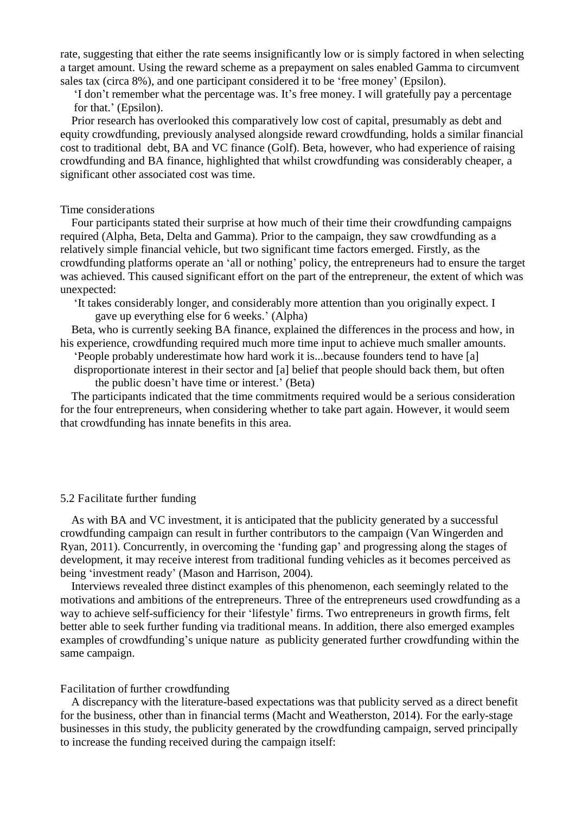rate, suggesting that either the rate seems insignificantly low or is simply factored in when selecting a target amount. Using the reward scheme as a prepayment on sales enabled Gamma to circumvent sales tax (circa 8%), and one participant considered it to be 'free money' (Epsilon).

'I don't remember what the percentage was. It's free money. I will gratefully pay a percentage for that.' (Epsilon).

Prior research has overlooked this comparatively low cost of capital, presumably as debt and equity crowdfunding, previously analysed alongside reward crowdfunding, holds a similar financial cost to traditional debt, BA and VC finance (Golf). Beta, however, who had experience of raising crowdfunding and BA finance, highlighted that whilst crowdfunding was considerably cheaper, a significant other associated cost was time.

## Time considerations

Four participants stated their surprise at how much of their time their crowdfunding campaigns required (Alpha, Beta, Delta and Gamma). Prior to the campaign, they saw crowdfunding as a relatively simple financial vehicle, but two significant time factors emerged. Firstly, as the crowdfunding platforms operate an 'all or nothing' policy, the entrepreneurs had to ensure the target was achieved. This caused significant effort on the part of the entrepreneur, the extent of which was unexpected:

'It takes considerably longer, and considerably more attention than you originally expect. I gave up everything else for 6 weeks.' (Alpha)

Beta, who is currently seeking BA finance, explained the differences in the process and how, in his experience, crowdfunding required much more time input to achieve much smaller amounts.

'People probably underestimate how hard work it is...because founders tend to have [a] disproportionate interest in their sector and [a] belief that people should back them, but often

the public doesn't have time or interest.' (Beta)

The participants indicated that the time commitments required would be a serious consideration for the four entrepreneurs, when considering whether to take part again. However, it would seem that crowdfunding has innate benefits in this area.

#### 5.2 Facilitate further funding

As with BA and VC investment, it is anticipated that the publicity generated by a successful crowdfunding campaign can result in further contributors to the campaign (Van Wingerden and Ryan, 2011). Concurrently, in overcoming the 'funding gap' and progressing along the stages of development, it may receive interest from traditional funding vehicles as it becomes perceived as being 'investment ready' (Mason and Harrison, 2004).

Interviews revealed three distinct examples of this phenomenon, each seemingly related to the motivations and ambitions of the entrepreneurs. Three of the entrepreneurs used crowdfunding as a way to achieve self-sufficiency for their 'lifestyle' firms. Two entrepreneurs in growth firms, felt better able to seek further funding via traditional means. In addition, there also emerged examples examples of crowdfunding's unique nature as publicity generated further crowdfunding within the same campaign.

#### Facilitation of further crowdfunding

A discrepancy with the literature-based expectations was that publicity served as a direct benefit for the business, other than in financial terms (Macht and Weatherston, 2014). For the early-stage businesses in this study, the publicity generated by the crowdfunding campaign, served principally to increase the funding received during the campaign itself: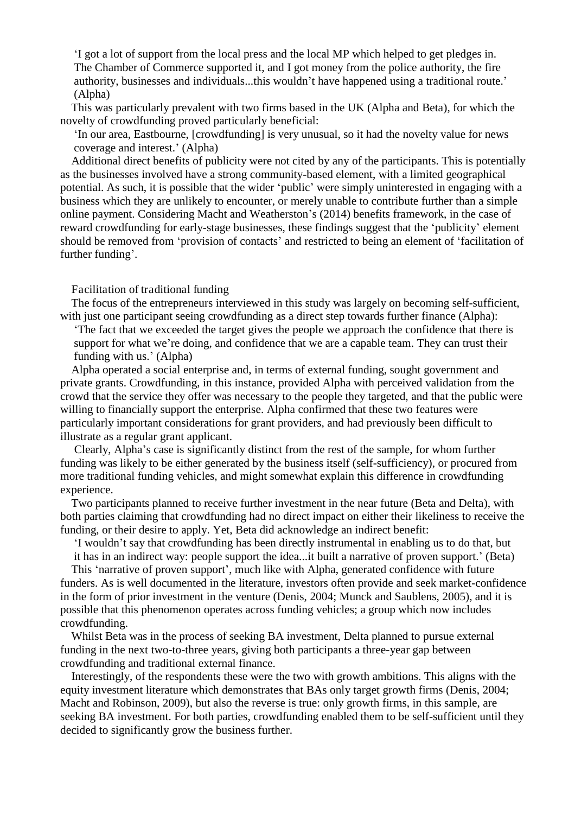'I got a lot of support from the local press and the local MP which helped to get pledges in. The Chamber of Commerce supported it, and I got money from the police authority, the fire authority, businesses and individuals...this wouldn't have happened using a traditional route.' (Alpha)

This was particularly prevalent with two firms based in the UK (Alpha and Beta), for which the novelty of crowdfunding proved particularly beneficial:

'In our area, Eastbourne, [crowdfunding] is very unusual, so it had the novelty value for news coverage and interest.' (Alpha)

Additional direct benefits of publicity were not cited by any of the participants. This is potentially as the businesses involved have a strong community-based element, with a limited geographical potential. As such, it is possible that the wider 'public' were simply uninterested in engaging with a business which they are unlikely to encounter, or merely unable to contribute further than a simple online payment. Considering Macht and Weatherston's (2014) benefits framework, in the case of reward crowdfunding for early-stage businesses, these findings suggest that the 'publicity' element should be removed from 'provision of contacts' and restricted to being an element of 'facilitation of further funding'.

Facilitation of traditional funding

The focus of the entrepreneurs interviewed in this study was largely on becoming self-sufficient, with just one participant seeing crowdfunding as a direct step towards further finance (Alpha):

'The fact that we exceeded the target gives the people we approach the confidence that there is support for what we're doing, and confidence that we are a capable team. They can trust their funding with us.' (Alpha)

Alpha operated a social enterprise and, in terms of external funding, sought government and private grants. Crowdfunding, in this instance, provided Alpha with perceived validation from the crowd that the service they offer was necessary to the people they targeted, and that the public were willing to financially support the enterprise. Alpha confirmed that these two features were particularly important considerations for grant providers, and had previously been difficult to illustrate as a regular grant applicant.

 Clearly, Alpha's case is significantly distinct from the rest of the sample, for whom further funding was likely to be either generated by the business itself (self-sufficiency), or procured from more traditional funding vehicles, and might somewhat explain this difference in crowdfunding experience.

Two participants planned to receive further investment in the near future (Beta and Delta), with both parties claiming that crowdfunding had no direct impact on either their likeliness to receive the funding, or their desire to apply. Yet, Beta did acknowledge an indirect benefit:

'I wouldn't say that crowdfunding has been directly instrumental in enabling us to do that, but it has in an indirect way: people support the idea...it built a narrative of proven support.' (Beta)

This 'narrative of proven support', much like with Alpha, generated confidence with future

funders. As is well documented in the literature, investors often provide and seek market-confidence in the form of prior investment in the venture (Denis, 2004; Munck and Saublens, 2005), and it is possible that this phenomenon operates across funding vehicles; a group which now includes crowdfunding.

Whilst Beta was in the process of seeking BA investment, Delta planned to pursue external funding in the next two-to-three years, giving both participants a three-year gap between crowdfunding and traditional external finance.

Interestingly, of the respondents these were the two with growth ambitions. This aligns with the equity investment literature which demonstrates that BAs only target growth firms (Denis, 2004; Macht and Robinson, 2009), but also the reverse is true: only growth firms, in this sample, are seeking BA investment. For both parties, crowdfunding enabled them to be self-sufficient until they decided to significantly grow the business further.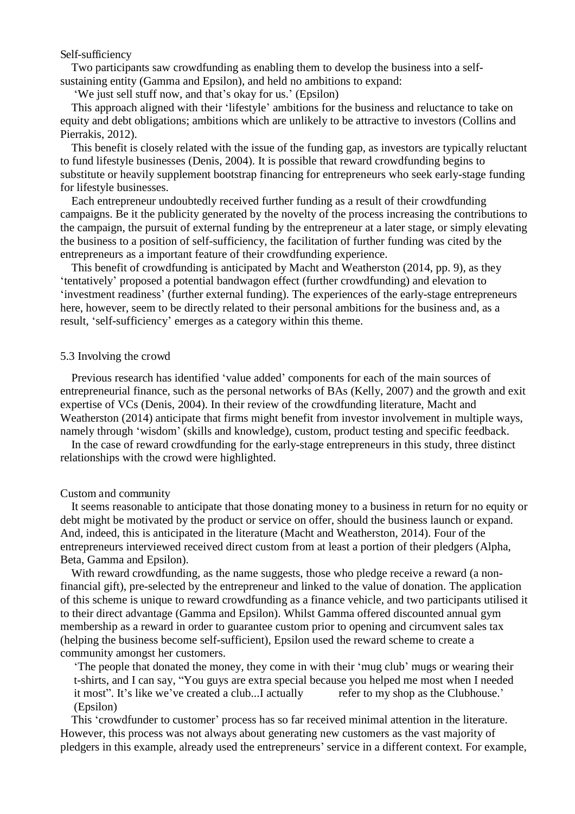Self-sufficiency

Two participants saw crowdfunding as enabling them to develop the business into a selfsustaining entity (Gamma and Epsilon), and held no ambitions to expand:

'We just sell stuff now, and that's okay for us.' (Epsilon)

This approach aligned with their 'lifestyle' ambitions for the business and reluctance to take on equity and debt obligations; ambitions which are unlikely to be attractive to investors (Collins and Pierrakis, 2012).

This benefit is closely related with the issue of the funding gap, as investors are typically reluctant to fund lifestyle businesses (Denis, 2004). It is possible that reward crowdfunding begins to substitute or heavily supplement bootstrap financing for entrepreneurs who seek early-stage funding for lifestyle businesses.

Each entrepreneur undoubtedly received further funding as a result of their crowdfunding campaigns. Be it the publicity generated by the novelty of the process increasing the contributions to the campaign, the pursuit of external funding by the entrepreneur at a later stage, or simply elevating the business to a position of self-sufficiency, the facilitation of further funding was cited by the entrepreneurs as a important feature of their crowdfunding experience.

This benefit of crowdfunding is anticipated by Macht and Weatherston (2014, pp. 9), as they 'tentatively' proposed a potential bandwagon effect (further crowdfunding) and elevation to 'investment readiness' (further external funding). The experiences of the early-stage entrepreneurs here, however, seem to be directly related to their personal ambitions for the business and, as a result, 'self-sufficiency' emerges as a category within this theme.

# 5.3 Involving the crowd

Previous research has identified 'value added' components for each of the main sources of entrepreneurial finance, such as the personal networks of BAs (Kelly, 2007) and the growth and exit expertise of VCs (Denis, 2004). In their review of the crowdfunding literature, Macht and Weatherston (2014) anticipate that firms might benefit from investor involvement in multiple ways, namely through 'wisdom' (skills and knowledge), custom, product testing and specific feedback.

In the case of reward crowdfunding for the early-stage entrepreneurs in this study, three distinct relationships with the crowd were highlighted.

## Custom and community

It seems reasonable to anticipate that those donating money to a business in return for no equity or debt might be motivated by the product or service on offer, should the business launch or expand. And, indeed, this is anticipated in the literature (Macht and Weatherston, 2014). Four of the entrepreneurs interviewed received direct custom from at least a portion of their pledgers (Alpha, Beta, Gamma and Epsilon).

With reward crowdfunding, as the name suggests, those who pledge receive a reward (a nonfinancial gift), pre-selected by the entrepreneur and linked to the value of donation. The application of this scheme is unique to reward crowdfunding as a finance vehicle, and two participants utilised it to their direct advantage (Gamma and Epsilon). Whilst Gamma offered discounted annual gym membership as a reward in order to guarantee custom prior to opening and circumvent sales tax (helping the business become self-sufficient), Epsilon used the reward scheme to create a community amongst her customers.

'The people that donated the money, they come in with their 'mug club' mugs or wearing their t-shirts, and I can say, "You guys are extra special because you helped me most when I needed it most". It's like we've created a club...I actually refer to my shop as the Clubhouse.' (Epsilon)

This 'crowdfunder to customer' process has so far received minimal attention in the literature. However, this process was not always about generating new customers as the vast majority of pledgers in this example, already used the entrepreneurs' service in a different context. For example,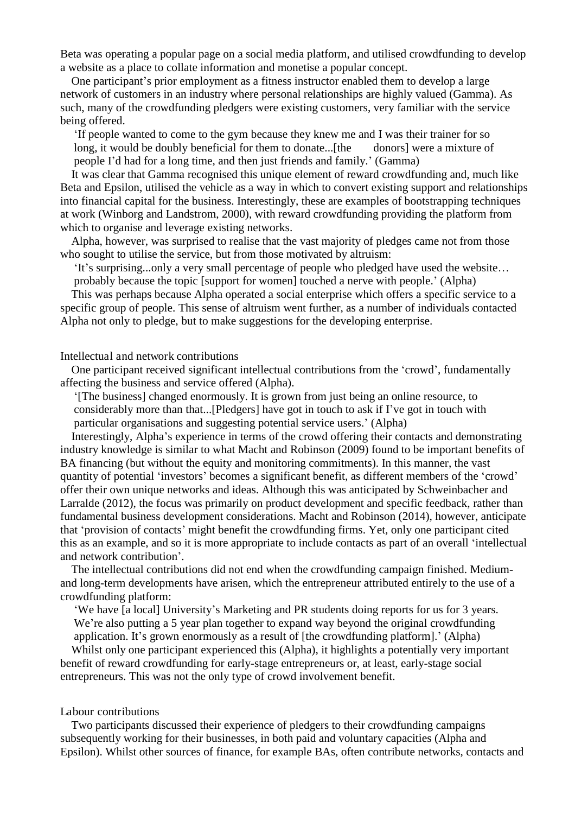Beta was operating a popular page on a social media platform, and utilised crowdfunding to develop a website as a place to collate information and monetise a popular concept.

One participant's prior employment as a fitness instructor enabled them to develop a large network of customers in an industry where personal relationships are highly valued (Gamma). As such, many of the crowdfunding pledgers were existing customers, very familiar with the service being offered.

'If people wanted to come to the gym because they knew me and I was their trainer for so long, it would be doubly beneficial for them to donate...[the donors] were a mixture of people I'd had for a long time, and then just friends and family.' (Gamma)

It was clear that Gamma recognised this unique element of reward crowdfunding and, much like Beta and Epsilon, utilised the vehicle as a way in which to convert existing support and relationships into financial capital for the business. Interestingly, these are examples of bootstrapping techniques at work (Winborg and Landstrom, 2000), with reward crowdfunding providing the platform from which to organise and leverage existing networks.

Alpha, however, was surprised to realise that the vast majority of pledges came not from those who sought to utilise the service, but from those motivated by altruism:

'It's surprising...only a very small percentage of people who pledged have used the website… probably because the topic [support for women] touched a nerve with people.' (Alpha)

This was perhaps because Alpha operated a social enterprise which offers a specific service to a specific group of people. This sense of altruism went further, as a number of individuals contacted Alpha not only to pledge, but to make suggestions for the developing enterprise.

#### Intellectual and network contributions

One participant received significant intellectual contributions from the 'crowd', fundamentally affecting the business and service offered (Alpha).

'[The business] changed enormously. It is grown from just being an online resource, to considerably more than that...[Pledgers] have got in touch to ask if I've got in touch with particular organisations and suggesting potential service users.' (Alpha)

Interestingly, Alpha's experience in terms of the crowd offering their contacts and demonstrating industry knowledge is similar to what Macht and Robinson (2009) found to be important benefits of BA financing (but without the equity and monitoring commitments). In this manner, the vast quantity of potential 'investors' becomes a significant benefit, as different members of the 'crowd' offer their own unique networks and ideas. Although this was anticipated by Schweinbacher and Larralde (2012), the focus was primarily on product development and specific feedback, rather than fundamental business development considerations. Macht and Robinson (2014), however, anticipate that 'provision of contacts' might benefit the crowdfunding firms. Yet, only one participant cited this as an example, and so it is more appropriate to include contacts as part of an overall 'intellectual and network contribution'.

The intellectual contributions did not end when the crowdfunding campaign finished. Mediumand long-term developments have arisen, which the entrepreneur attributed entirely to the use of a crowdfunding platform:

'We have [a local] University's Marketing and PR students doing reports for us for 3 years. We're also putting a 5 year plan together to expand way beyond the original crowdfunding application. It's grown enormously as a result of [the crowdfunding platform].' (Alpha)

Whilst only one participant experienced this (Alpha), it highlights a potentially very important benefit of reward crowdfunding for early-stage entrepreneurs or, at least, early-stage social entrepreneurs. This was not the only type of crowd involvement benefit.

#### Labour contributions

Two participants discussed their experience of pledgers to their crowdfunding campaigns subsequently working for their businesses, in both paid and voluntary capacities (Alpha and Epsilon). Whilst other sources of finance, for example BAs, often contribute networks, contacts and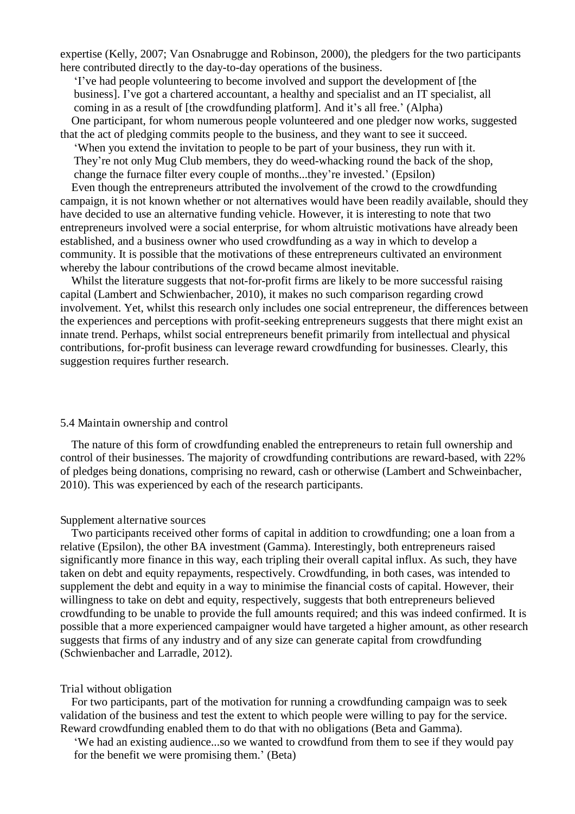expertise (Kelly, 2007; Van Osnabrugge and Robinson, 2000), the pledgers for the two participants here contributed directly to the day-to-day operations of the business.

'I've had people volunteering to become involved and support the development of [the business]. I've got a chartered accountant, a healthy and specialist and an IT specialist, all coming in as a result of [the crowdfunding platform]. And it's all free.' (Alpha) One participant, for whom numerous people volunteered and one pledger now works, suggested

that the act of pledging commits people to the business, and they want to see it succeed.

'When you extend the invitation to people to be part of your business, they run with it. They're not only Mug Club members, they do weed-whacking round the back of the shop, change the furnace filter every couple of months...they're invested.' (Epsilon)

Even though the entrepreneurs attributed the involvement of the crowd to the crowdfunding campaign, it is not known whether or not alternatives would have been readily available, should they have decided to use an alternative funding vehicle. However, it is interesting to note that two entrepreneurs involved were a social enterprise, for whom altruistic motivations have already been established, and a business owner who used crowdfunding as a way in which to develop a community. It is possible that the motivations of these entrepreneurs cultivated an environment whereby the labour contributions of the crowd became almost inevitable.

Whilst the literature suggests that not-for-profit firms are likely to be more successful raising capital (Lambert and Schwienbacher, 2010), it makes no such comparison regarding crowd involvement. Yet, whilst this research only includes one social entrepreneur, the differences between the experiences and perceptions with profit-seeking entrepreneurs suggests that there might exist an innate trend. Perhaps, whilst social entrepreneurs benefit primarily from intellectual and physical contributions, for-profit business can leverage reward crowdfunding for businesses. Clearly, this suggestion requires further research.

## 5.4 Maintain ownership and control

The nature of this form of crowdfunding enabled the entrepreneurs to retain full ownership and control of their businesses. The majority of crowdfunding contributions are reward-based, with 22% of pledges being donations, comprising no reward, cash or otherwise (Lambert and Schweinbacher, 2010). This was experienced by each of the research participants.

#### Supplement alternative sources

Two participants received other forms of capital in addition to crowdfunding; one a loan from a relative (Epsilon), the other BA investment (Gamma). Interestingly, both entrepreneurs raised significantly more finance in this way, each tripling their overall capital influx. As such, they have taken on debt and equity repayments, respectively. Crowdfunding, in both cases, was intended to supplement the debt and equity in a way to minimise the financial costs of capital. However, their willingness to take on debt and equity, respectively, suggests that both entrepreneurs believed crowdfunding to be unable to provide the full amounts required; and this was indeed confirmed. It is possible that a more experienced campaigner would have targeted a higher amount, as other research suggests that firms of any industry and of any size can generate capital from crowdfunding (Schwienbacher and Larradle, 2012).

#### Trial without obligation

For two participants, part of the motivation for running a crowdfunding campaign was to seek validation of the business and test the extent to which people were willing to pay for the service. Reward crowdfunding enabled them to do that with no obligations (Beta and Gamma).

'We had an existing audience...so we wanted to crowdfund from them to see if they would pay for the benefit we were promising them.' (Beta)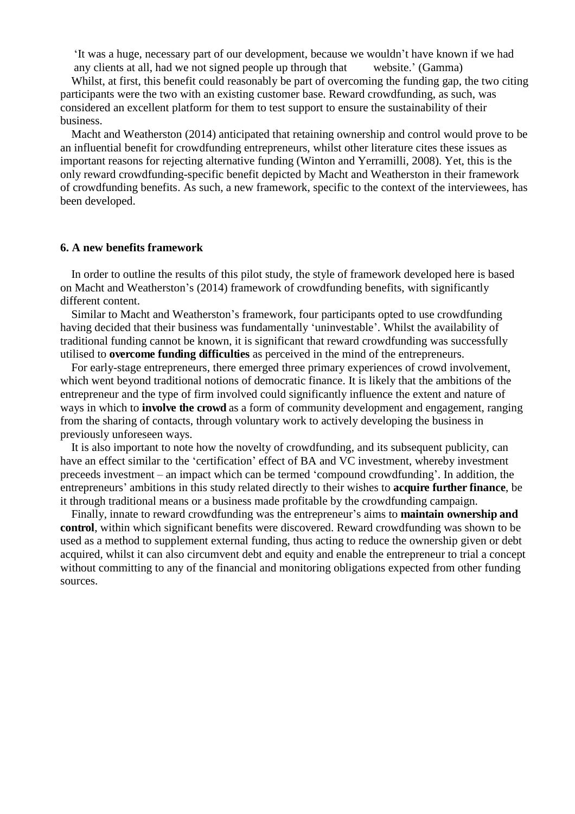'It was a huge, necessary part of our development, because we wouldn't have known if we had any clients at all, had we not signed people up through that website.' (Gamma)

Whilst, at first, this benefit could reasonably be part of overcoming the funding gap, the two citing participants were the two with an existing customer base. Reward crowdfunding, as such, was considered an excellent platform for them to test support to ensure the sustainability of their business.

Macht and Weatherston (2014) anticipated that retaining ownership and control would prove to be an influential benefit for crowdfunding entrepreneurs, whilst other literature cites these issues as important reasons for rejecting alternative funding (Winton and Yerramilli, 2008). Yet, this is the only reward crowdfunding-specific benefit depicted by Macht and Weatherston in their framework of crowdfunding benefits. As such, a new framework, specific to the context of the interviewees, has been developed.

#### **6. A new benefits framework**

In order to outline the results of this pilot study, the style of framework developed here is based on Macht and Weatherston's (2014) framework of crowdfunding benefits, with significantly different content.

Similar to Macht and Weatherston's framework, four participants opted to use crowdfunding having decided that their business was fundamentally 'uninvestable'. Whilst the availability of traditional funding cannot be known, it is significant that reward crowdfunding was successfully utilised to **overcome funding difficulties** as perceived in the mind of the entrepreneurs.

For early-stage entrepreneurs, there emerged three primary experiences of crowd involvement, which went beyond traditional notions of democratic finance. It is likely that the ambitions of the entrepreneur and the type of firm involved could significantly influence the extent and nature of ways in which to **involve the crowd** as a form of community development and engagement, ranging from the sharing of contacts, through voluntary work to actively developing the business in previously unforeseen ways.

It is also important to note how the novelty of crowdfunding, and its subsequent publicity, can have an effect similar to the 'certification' effect of BA and VC investment, whereby investment preceeds investment – an impact which can be termed 'compound crowdfunding'. In addition, the entrepreneurs' ambitions in this study related directly to their wishes to **acquire further finance**, be it through traditional means or a business made profitable by the crowdfunding campaign.

Finally, innate to reward crowdfunding was the entrepreneur's aims to **maintain ownership and control**, within which significant benefits were discovered. Reward crowdfunding was shown to be used as a method to supplement external funding, thus acting to reduce the ownership given or debt acquired, whilst it can also circumvent debt and equity and enable the entrepreneur to trial a concept without committing to any of the financial and monitoring obligations expected from other funding sources.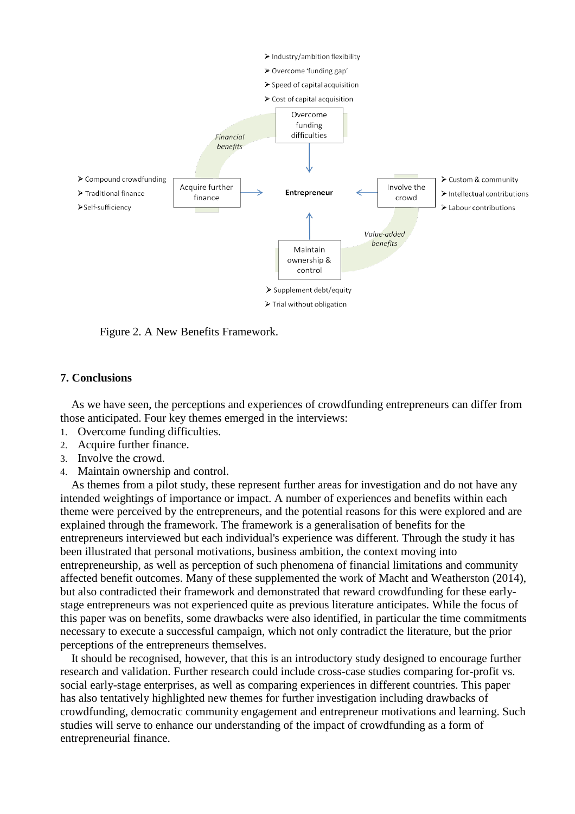

Figure 2. A New Benefits Framework.

# **7. Conclusions**

As we have seen, the perceptions and experiences of crowdfunding entrepreneurs can differ from those anticipated. Four key themes emerged in the interviews:

- 1. Overcome funding difficulties.
- 2. Acquire further finance.
- 3. Involve the crowd.
- 4. Maintain ownership and control.

As themes from a pilot study, these represent further areas for investigation and do not have any intended weightings of importance or impact. A number of experiences and benefits within each theme were perceived by the entrepreneurs, and the potential reasons for this were explored and are explained through the framework. The framework is a generalisation of benefits for the entrepreneurs interviewed but each individual's experience was different. Through the study it has been illustrated that personal motivations, business ambition, the context moving into entrepreneurship, as well as perception of such phenomena of financial limitations and community affected benefit outcomes. Many of these supplemented the work of Macht and Weatherston (2014), but also contradicted their framework and demonstrated that reward crowdfunding for these earlystage entrepreneurs was not experienced quite as previous literature anticipates. While the focus of this paper was on benefits, some drawbacks were also identified, in particular the time commitments necessary to execute a successful campaign, which not only contradict the literature, but the prior perceptions of the entrepreneurs themselves.

It should be recognised, however, that this is an introductory study designed to encourage further research and validation. Further research could include cross-case studies comparing for-profit vs. social early-stage enterprises, as well as comparing experiences in different countries. This paper has also tentatively highlighted new themes for further investigation including drawbacks of crowdfunding, democratic community engagement and entrepreneur motivations and learning. Such studies will serve to enhance our understanding of the impact of crowdfunding as a form of entrepreneurial finance.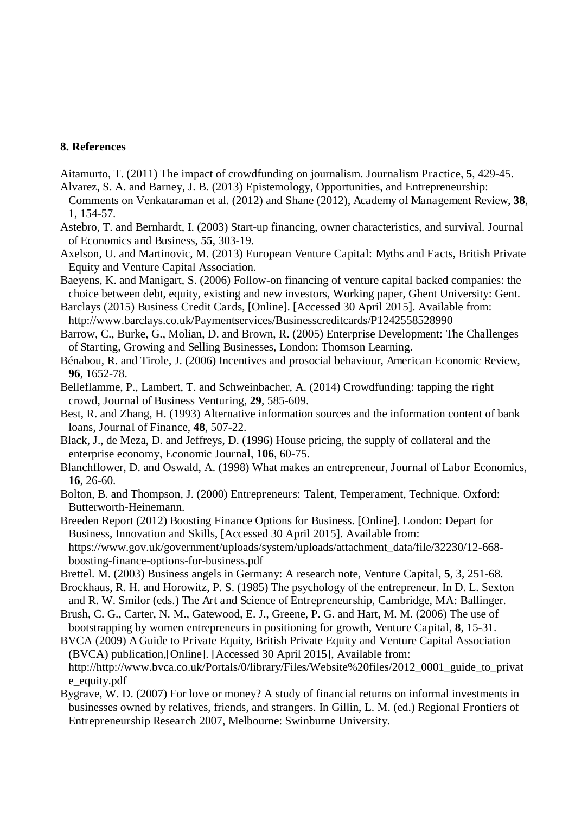# **8. References**

- Aitamurto, T. (2011) The impact of crowdfunding on journalism. Journalism Practice, **5**, 429-45. Alvarez, S. A. and Barney, J. B. (2013) Epistemology, Opportunities, and Entrepreneurship:
- Comments on Venkataraman et al. (2012) and Shane (2012), Academy of Management Review, **38**, 1, 154-57.
- Astebro, T. and Bernhardt, I. (2003) Start-up financing, owner characteristics, and survival. Journal of Economics and Business, **55**, 303-19.
- Axelson, U. and Martinovic, M. (2013) European Venture Capital: Myths and Facts, British Private Equity and Venture Capital Association.
- Baeyens, K. and Manigart, S. (2006) Follow-on financing of venture capital backed companies: the choice between debt, equity, existing and new investors, Working paper, Ghent University: Gent.
- Barclays (2015) Business Credit Cards, [Online]. [Accessed 30 April 2015]. Available from: http://www.barclays.co.uk/Paymentservices/Businesscreditcards/P1242558528990
- Barrow, C., Burke, G., Molian, D. and Brown, R. (2005) Enterprise Development: The Challenges of Starting, Growing and Selling Businesses, London: Thomson Learning.
- Bénabou, R. and Tirole, J. (2006) Incentives and prosocial behaviour, American Economic Review, **96**, 1652-78.
- Belleflamme, P., Lambert, T. and Schweinbacher, A. (2014) Crowdfunding: tapping the right crowd, Journal of Business Venturing, **29**, 585-609.
- Best, R. and Zhang, H. (1993) Alternative information sources and the information content of bank loans, Journal of Finance, **48**, 507-22.
- Black, J., de Meza, D. and Jeffreys, D. (1996) House pricing, the supply of collateral and the enterprise economy, Economic Journal, **106**, 60-75.
- Blanchflower, D. and Oswald, A. (1998) What makes an entrepreneur, Journal of Labor Economics, **16**, 26-60.
- Bolton, B. and Thompson, J. (2000) Entrepreneurs: Talent, Temperament, Technique. Oxford: Butterworth-Heinemann.

Breeden Report (2012) Boosting Finance Options for Business. [Online]. London: Depart for Business, Innovation and Skills, [Accessed 30 April 2015]. Available from: https://www.gov.uk/government/uploads/system/uploads/attachment\_data/file/32230/12-668 boosting-finance-options-for-business.pdf

- Brettel. M. (2003) Business angels in Germany: A research note, Venture Capital, **5**, 3, 251-68.
- Brockhaus, R. H. and Horowitz, P. S. (1985) The psychology of the entrepreneur. In D. L. Sexton and R. W. Smilor (eds.) The Art and Science of Entrepreneurship, Cambridge, MA: Ballinger.
- Brush, C. G., Carter, N. M., Gatewood, E. J., Greene, P. G. and Hart, M. M. (2006) The use of bootstrapping by women entrepreneurs in positioning for growth, Venture Capital, **8**, 15-31.
- BVCA (2009) A Guide to Private Equity, British Private Equity and Venture Capital Association (BVCA) publication,[Online]. [Accessed 30 April 2015], Available from: http://http://www.bvca.co.uk/Portals/0/library/Files/Website%20files/2012\_0001\_guide\_to\_privat e\_equity.pdf
- Bygrave, W. D. (2007) For love or money? A study of financial returns on informal investments in businesses owned by relatives, friends, and strangers. In Gillin, L. M. (ed.) Regional Frontiers of Entrepreneurship Research 2007, Melbourne: Swinburne University.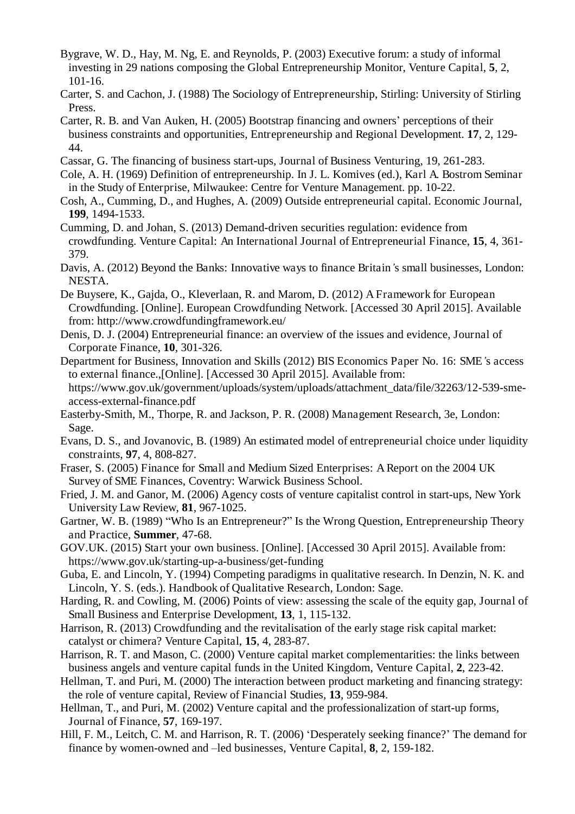- Bygrave, W. D., Hay, M. Ng, E. and Reynolds, P. (2003) Executive forum: a study of informal investing in 29 nations composing the Global Entrepreneurship Monitor, Venture Capital, **5**, 2, 101-16.
- Carter, S. and Cachon, J. (1988) The Sociology of Entrepreneurship, Stirling: University of Stirling Press.
- Carter, R. B. and Van Auken, H. (2005) Bootstrap financing and owners' perceptions of their business constraints and opportunities, Entrepreneurship and Regional Development. **17**, 2, 129- 44.
- Cassar, G. The financing of business start-ups, Journal of Business Venturing, 19, 261-283.
- Cole, A. H. (1969) Definition of entrepreneurship. In J. L. Komives (ed.), Karl A. Bostrom Seminar in the Study of Enterprise, Milwaukee: Centre for Venture Management. pp. 10-22.
- Cosh, A., Cumming, D., and Hughes, A. (2009) Outside entrepreneurial capital. Economic Journal, **199**, 1494-1533.
- Cumming, D. and Johan, S. (2013) Demand-driven securities regulation: evidence from crowdfunding. Venture Capital: An International Journal of Entrepreneurial Finance, **15**, 4, 361- 379.
- Davis, A. (2012) Beyond the Banks: Innovative ways to finance Britain*'*s small businesses, London: NESTA.
- De Buysere, K., Gajda, O., Kleverlaan, R. and Marom, D. (2012) A Framework for European Crowdfunding. [Online]. European Crowdfunding Network. [Accessed 30 April 2015]. Available from: http://www.crowdfundingframework.eu/
- Denis, D. J. (2004) Entrepreneurial finance: an overview of the issues and evidence, Journal of Corporate Finance, **10**, 301-326.
- Department for Business, Innovation and Skills (2012) BIS Economics Paper No. 16: SME*'*s access to external finance.,[Online]. [Accessed 30 April 2015]. Available from: https://www.gov.uk/government/uploads/system/uploads/attachment\_data/file/32263/12-539-smeaccess-external-finance.pdf
- Easterby-Smith, M., Thorpe, R. and Jackson, P. R. (2008) Management Research, 3e, London: Sage.
- Evans, D. S., and Jovanovic, B. (1989) An estimated model of entrepreneurial choice under liquidity constraints, **97**, 4, 808-827.
- Fraser, S. (2005) Finance for Small and Medium Sized Enterprises: A Report on the 2004 UK Survey of SME Finances, Coventry: Warwick Business School.
- Fried, J. M. and Ganor, M. (2006) Agency costs of venture capitalist control in start-ups, New York University Law Review, **81**, 967-1025.
- Gartner, W. B. (1989) "Who Is an Entrepreneur?" Is the Wrong Question, Entrepreneurship Theory and Practice, **Summer**, 47-68.
- GOV.UK. (2015) Start your own business. [Online]. [Accessed 30 April 2015]. Available from: https://www.gov.uk/starting-up-a-business/get-funding
- Guba, E. and Lincoln, Y. (1994) Competing paradigms in qualitative research. In Denzin, N. K. and Lincoln, Y. S. (eds.). Handbook of Qualitative Research, London: Sage.
- Harding, R. and Cowling, M. (2006) Points of view: assessing the scale of the equity gap, Journal of Small Business and Enterprise Development, **13**, 1, 115-132.
- Harrison, R. (2013) Crowdfunding and the revitalisation of the early stage risk capital market: catalyst or chimera? Venture Capital, **15**, 4, 283-87.
- Harrison, R. T. and Mason, C. (2000) Venture capital market complementarities: the links between business angels and venture capital funds in the United Kingdom, Venture Capital, **2**, 223-42.
- Hellman, T. and Puri, M. (2000) The interaction between product marketing and financing strategy: the role of venture capital, Review of Financial Studies, **13**, 959-984.
- Hellman, T., and Puri, M. (2002) Venture capital and the professionalization of start-up forms, Journal of Finance, **57**, 169-197.
- Hill, F. M., Leitch, C. M. and Harrison, R. T. (2006) 'Desperately seeking finance?' The demand for finance by women-owned and –led businesses, Venture Capital, **8**, 2, 159-182.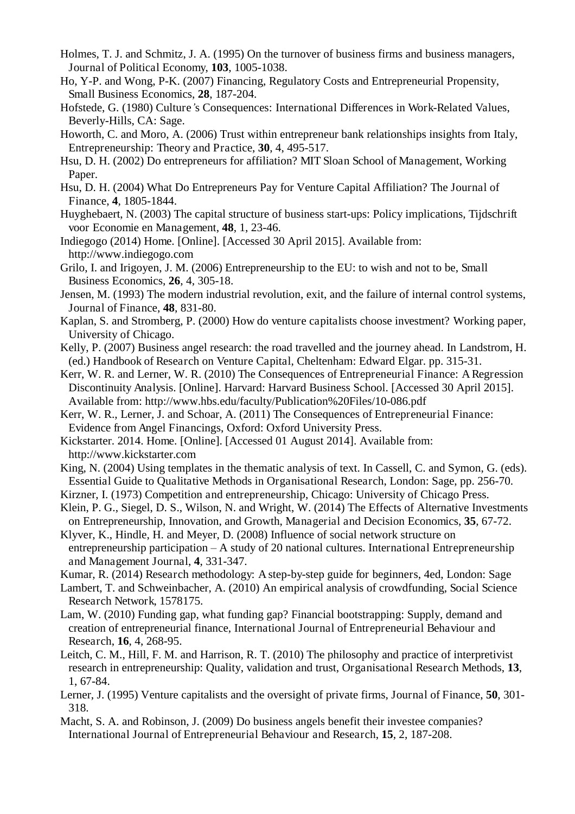- Holmes, T. J. and Schmitz, J. A. (1995) On the turnover of business firms and business managers, Journal of Political Economy, **103**, 1005-1038.
- Ho, Y-P. and Wong, P-K. (2007) Financing, Regulatory Costs and Entrepreneurial Propensity, Small Business Economics, **28**, 187-204.
- Hofstede, G. (1980) Culture*'*s Consequences: International Differences in Work-Related Values, Beverly-Hills, CA: Sage.
- Howorth, C. and Moro, A. (2006) Trust within entrepreneur bank relationships insights from Italy, Entrepreneurship: Theory and Practice, **30**, 4, 495-517.
- Hsu, D. H. (2002) Do entrepreneurs for affiliation? MIT Sloan School of Management, Working Paper.
- Hsu, D. H. (2004) What Do Entrepreneurs Pay for Venture Capital Affiliation? The Journal of Finance, **4**, 1805-1844.
- Huyghebaert, N. (2003) The capital structure of business start-ups: Policy implications, Tijdschrift voor Economie en Management, **48**, 1, 23-46.
- Indiegogo (2014) Home. [Online]. [Accessed 30 April 2015]. Available from: http://www.indiegogo.com
- Grilo, I. and Irigoyen, J. M. (2006) Entrepreneurship to the EU: to wish and not to be, Small Business Economics, **26**, 4, 305-18.
- Jensen, M. (1993) The modern industrial revolution, exit, and the failure of internal control systems, Journal of Finance, **48**, 831-80.
- Kaplan, S. and Stromberg, P. (2000) How do venture capitalists choose investment? Working paper, University of Chicago.
- Kelly, P. (2007) Business angel research: the road travelled and the journey ahead. In Landstrom, H. (ed.) Handbook of Research on Venture Capital, Cheltenham: Edward Elgar. pp. 315-31.
- Kerr, W. R. and Lerner, W. R. (2010) The Consequences of Entrepreneurial Finance: A Regression Discontinuity Analysis. [Online]. Harvard: Harvard Business School. [Accessed 30 April 2015]. Available from: http://www.hbs.edu/faculty/Publication%20Files/10-086.pdf
- Kerr, W. R., Lerner, J. and Schoar, A. (2011) The Consequences of Entrepreneurial Finance: Evidence from Angel Financings, Oxford: Oxford University Press.
- Kickstarter. 2014. Home. [Online]. [Accessed 01 August 2014]. Available from: http://www.kickstarter.com
- King, N. (2004) Using templates in the thematic analysis of text. In Cassell, C. and Symon, G. (eds). Essential Guide to Qualitative Methods in Organisational Research, London: Sage, pp. 256-70.
- Kirzner, I. (1973) Competition and entrepreneurship, Chicago: University of Chicago Press.
- Klein, P. G., Siegel, D. S., Wilson, N. and Wright, W. (2014) The Effects of Alternative Investments on Entrepreneurship, Innovation, and Growth, Managerial and Decision Economics, **35**, 67-72.
- Klyver, K., Hindle, H. and Meyer, D. (2008) Influence of social network structure on entrepreneurship participation – A study of 20 national cultures. International Entrepreneurship and Management Journal, **4**, 331-347.
- Kumar, R. (2014) Research methodology: A step-by-step guide for beginners, 4ed, London: Sage
- Lambert, T. and Schweinbacher, A. (2010) An empirical analysis of crowdfunding, Social Science Research Network, 1578175.
- Lam, W. (2010) Funding gap, what funding gap? Financial bootstrapping: Supply, demand and creation of entrepreneurial finance, International Journal of Entrepreneurial Behaviour and Research, **16**, 4, 268-95.
- Leitch, C. M., Hill, F. M. and Harrison, R. T. (2010) The philosophy and practice of interpretivist research in entrepreneurship: Quality, validation and trust, Organisational Research Methods, **13**, 1, 67-84.
- Lerner, J. (1995) Venture capitalists and the oversight of private firms, Journal of Finance, **50**, 301- 318.
- Macht, S. A. and Robinson, J. (2009) Do business angels benefit their investee companies? International Journal of Entrepreneurial Behaviour and Research, **15**, 2, 187-208.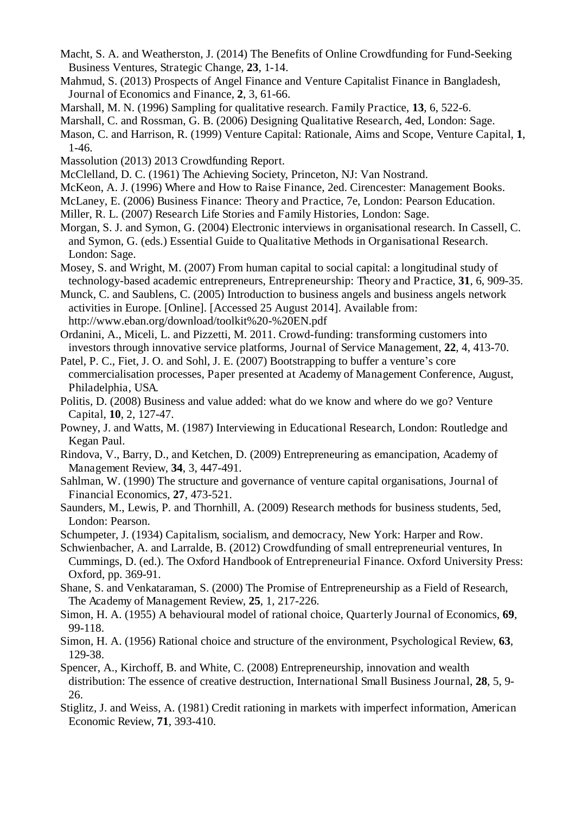- Macht, S. A. and Weatherston, J. (2014) The Benefits of Online Crowdfunding for Fund-Seeking Business Ventures, Strategic Change, **23**, 1-14.
- Mahmud, S. (2013) Prospects of Angel Finance and Venture Capitalist Finance in Bangladesh, Journal of Economics and Finance, **2**, 3, 61-66.
- Marshall, M. N. (1996) Sampling for qualitative research. Family Practice, **13**, 6, 522-6.
- Marshall, C. and Rossman, G. B. (2006) Designing Qualitative Research, 4ed, London: Sage.
- Mason, C. and Harrison, R. (1999) Venture Capital: Rationale, Aims and Scope, Venture Capital, **1**, 1-46.
- Massolution (2013) 2013 Crowdfunding Report.
- McClelland, D. C. (1961) The Achieving Society, Princeton, NJ: Van Nostrand.
- McKeon, A. J. (1996) Where and How to Raise Finance, 2ed. Cirencester: Management Books.
- McLaney, E. (2006) Business Finance: Theory and Practice, 7e, London: Pearson Education.
- Miller, R. L. (2007) Research Life Stories and Family Histories, London: Sage.
- Morgan, S. J. and Symon, G. (2004) Electronic interviews in organisational research. In Cassell, C. and Symon, G. (eds.) Essential Guide to Qualitative Methods in Organisational Research. London: Sage.
- Mosey, S. and Wright, M. (2007) From human capital to social capital: a longitudinal study of technology-based academic entrepreneurs, Entrepreneurship: Theory and Practice, **31**, 6, 909-35.
- Munck, C. and Saublens, C. (2005) Introduction to business angels and business angels network activities in Europe. [Online]. [Accessed 25 August 2014]. Available from: http://www.eban.org/download/toolkit%20-%20EN.pdf
- Ordanini, A., Miceli, L. and Pizzetti, M. 2011. Crowd-funding: transforming customers into investors through innovative service platforms, Journal of Service Management, **22**, 4, 413-70.
- Patel, P. C., Fiet, J. O. and Sohl, J. E. (2007) Bootstrapping to buffer a venture's core commercialisation processes, Paper presented at Academy of Management Conference, August, Philadelphia, USA.
- Politis, D. (2008) Business and value added: what do we know and where do we go? Venture Capital, **10**, 2, 127-47.
- Powney, J. and Watts, M. (1987) Interviewing in Educational Research, London: Routledge and Kegan Paul.
- Rindova, V., Barry, D., and Ketchen, D. (2009) Entrepreneuring as emancipation, Academy of Management Review, **34**, 3, 447-491.
- Sahlman, W. (1990) The structure and governance of venture capital organisations, Journal of Financial Economics, **27**, 473-521.
- Saunders, M., Lewis, P. and Thornhill, A. (2009) Research methods for business students, 5ed, London: Pearson.
- Schumpeter, J. (1934) Capitalism, socialism, and democracy, New York: Harper and Row.
- Schwienbacher, A. and Larralde, B. (2012) Crowdfunding of small entrepreneurial ventures, In Cummings, D. (ed.). The Oxford Handbook of Entrepreneurial Finance. Oxford University Press: Oxford, pp. 369-91.
- Shane, S. and Venkataraman, S. (2000) The Promise of Entrepreneurship as a Field of Research, The Academy of Management Review, **25**, 1, 217-226.
- Simon, H. A. (1955) A behavioural model of rational choice, Quarterly Journal of Economics, **69**, 99-118.
- Simon, H. A. (1956) Rational choice and structure of the environment, Psychological Review, **63**, 129-38.
- Spencer, A., Kirchoff, B. and White, C. (2008) Entrepreneurship, innovation and wealth distribution: The essence of creative destruction, International Small Business Journal, **28**, 5, 9- 26.
- Stiglitz, J. and Weiss, A. (1981) Credit rationing in markets with imperfect information, American Economic Review, **71**, 393-410.